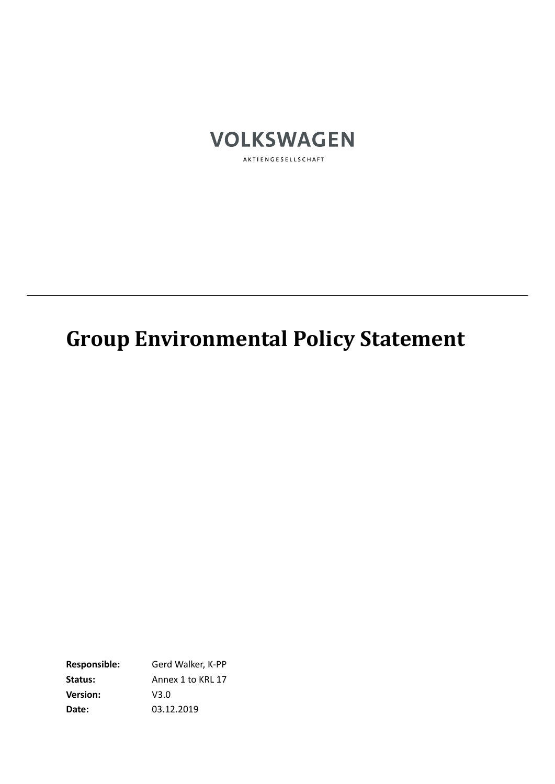

AKTIENGESELLSCHAFT

# **Group Environmental Policy Statement**

**Responsible:** Gerd Walker, K-PP Status: Annex 1 to KRL 17 **Version:** V3.0 **Date:** 03.12.2019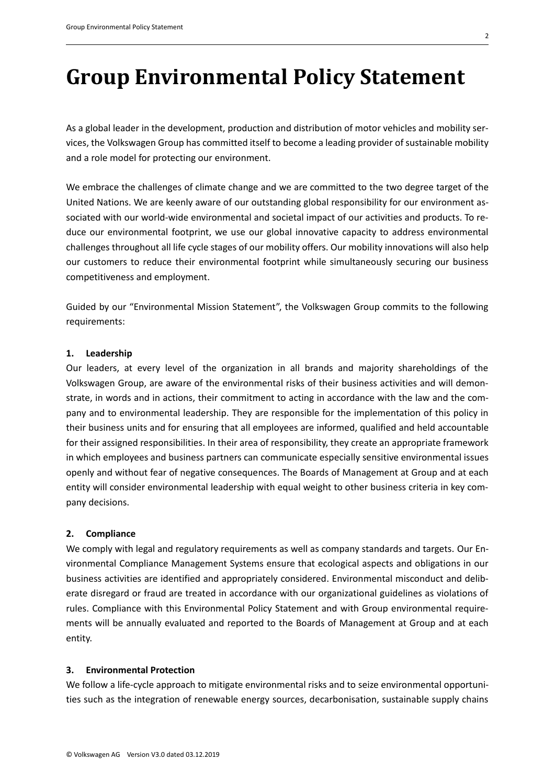# **Group Environmental Policy Statement**

As a global leader in the development, production and distribution of motor vehicles and mobility services, the Volkswagen Group has committed itself to become a leading provider of sustainable mobility and a role model for protecting our environment.

We embrace the challenges of climate change and we are committed to the two degree target of the United Nations. We are keenly aware of our outstanding global responsibility for our environment associated with our world-wide environmental and societal impact of our activities and products. To reduce our environmental footprint, we use our global innovative capacity to address environmental challenges throughout all life cycle stages of our mobility offers. Our mobility innovations will also help our customers to reduce their environmental footprint while simultaneously securing our business competitiveness and employment.

Guided by our "Environmental Mission Statement", the Volkswagen Group commits to the following requirements:

### **1. Leadership**

Our leaders, at every level of the organization in all brands and majority shareholdings of the Volkswagen Group, are aware of the environmental risks of their business activities and will demonstrate, in words and in actions, their commitment to acting in accordance with the law and the company and to environmental leadership. They are responsible for the implementation of this policy in their business units and for ensuring that all employees are informed, qualified and held accountable for their assigned responsibilities. In their area of responsibility, they create an appropriate framework in which employees and business partners can communicate especially sensitive environmental issues openly and without fear of negative consequences. The Boards of Management at Group and at each entity will consider environmental leadership with equal weight to other business criteria in key company decisions.

#### **2. Compliance**

We comply with legal and regulatory requirements as well as company standards and targets. Our Environmental Compliance Management Systems ensure that ecological aspects and obligations in our business activities are identified and appropriately considered. Environmental misconduct and deliberate disregard or fraud are treated in accordance with our organizational guidelines as violations of rules. Compliance with this Environmental Policy Statement and with Group environmental requirements will be annually evaluated and reported to the Boards of Management at Group and at each entity.

#### **3. Environmental Protection**

We follow a life-cycle approach to mitigate environmental risks and to seize environmental opportunities such as the integration of renewable energy sources, decarbonisation, sustainable supply chains